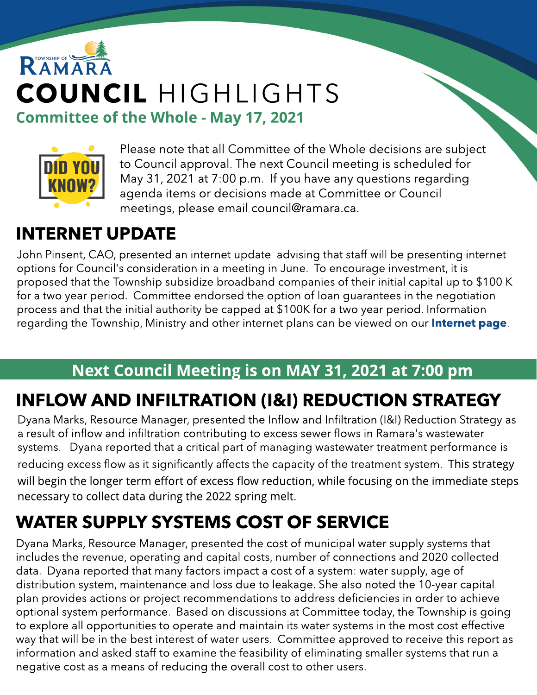



Please note that all Committee of the Whole decisions are subject to Council approval. The next Council meeting is scheduled for May 31, 2021 at 7:00 p.m. If you have any questions regarding agenda items or decisions made at Committee or Council meetings, please email council@ramara.ca.

# INTERNET UPDATE

John Pinsent, CAO, presented an internet update advising that staff will be presenting internet options for Council's consideration in a meeting in June. To encourage investment, it is proposed that the Township subsidize broadband companies of their initial capital up to \$100 K for a two year period. Committee endorsed the option of loan guarantees in the negotiation process and that the initial authority be capped at \$100K for a two year period. Information regarding the Township, Ministry and other internet plans can be viewed on our **[Internet](http://www.ramara.ca/internet) [page](http://www.ramara.ca/internet)**.

#### Next Council Meeting is on MAY 31, 2021 at 7:00 pm

# INFLOW AND INFILTRATION (I&I) REDUCTION STRATEGY

Dyana Marks, Resource Manager, presented the Inflow and Infiltration (I&I) Reduction Strategy as a result of inflow and infiltration contributing to excess sewer flows in Ramara's wastewater systems. Dyana reported that a critical part of managing wastewater treatment performance is reducing excess flow as it significantly affects the capacity of the treatment system. This strategy will begin the longer term effort of excess flow reduction, while focusing on the immediate steps necessary to collect data during the 2022 spring melt.

# WATER SUPPLY SYSTEMS COST OF SERVICE

Dyana Marks, Resource Manager, presented the cost of municipal water supply systems that includes the revenue, operating and capital costs, number of connections and 2020 collected data. Dyana reported that many factors impact a cost of a system: water supply, age of distribution system, maintenance and loss due to leakage. She also noted the 10-year capital plan provides actions or project recommendations to address deficiencies in order to achieve optional system performance. Based on discussions at Committee today, the Township is going to explore all opportunities to operate and maintain its water systems in the most cost effective way that will be in the best interest of water users. Committee approved to receive this report as information and asked staff to examine the feasibility of eliminating smaller systems that run a negative cost as a means of reducing the overall cost to other users.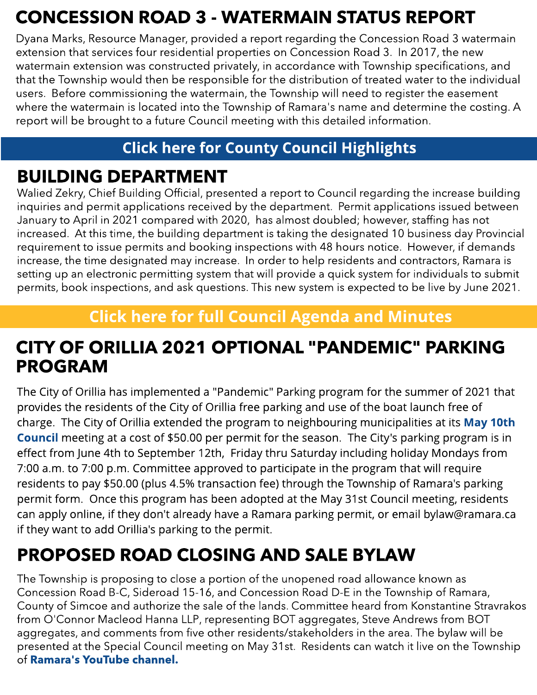# CONCESSION ROAD 3 - WATERMAIN STATUS REPORT

Dyana Marks, Resource Manager, provided a report regarding the Concession Road 3 watermain extension that services four residential properties on Concession Road 3. In 2017, the new watermain extension was constructed privately, in accordance with Township specifications, and that the Township would then be responsible for the distribution of treated water to the individual users. Before commissioning the watermain, the Township will need to register the easement where the watermain is located into the Township of Ramara's name and determine the costing. A report will be brought to a future Council meeting with this detailed information.

#### **[Click](https://www.simcoe.ca/dpt/ccd/newsletters) [here](https://www.simcoe.ca/dpt/ccd/newsletters) [for](https://www.simcoe.ca/dpt/ccd/newsletters) [Count](https://www.simcoe.ca/dpt/ccd/newsletters)y [Council](https://www.simcoe.ca/dpt/ccd/newsletters) [Highlight](https://www.simcoe.ca/dpt/ccd/newsletters)s**

## BUILDING DEPARTMENT

Walied Zekry, Chief Building Official, presented a report to Council regarding the increase building inquiries and permit applications received by the department. Permit applications issued between January to April in 2021 compared with 2020, has almost doubled; however, staffing has not increased. At this time, the building department is taking the designated 10 business day Provincial requirement to issue permits and booking inspections with 48 hours notice. However, if demands increase, the time designated may increase. In order to help residents and contractors, Ramara is setting up an electronic permitting system that will provide a quick system for individuals to submit permits, book inspections, and ask questions. This new system is expected to be live by June 2021.

#### **[Click](https://ramara.civicweb.net/portal/) [here](https://ramara.civicweb.net/portal/) [for](https://ramara.civicweb.net/portal/) [full](https://ramara.civicweb.net/portal/) [Council](https://ramara.civicweb.net/portal/) [Agenda](https://ramara.civicweb.net/portal/) [and](https://ramara.civicweb.net/portal/) [Minut](https://ramara.civicweb.net/portal/)es**

#### CITY OF ORILLIA 2021 OPTIONAL "PANDEMIC" PARKING PROGRAM

The City of Orillia has implemented a "Pandemic" Parking program for the summer of 2021 that provides the residents of the City of Orillia free parking and use of the boat launch free of charge. The City of Orillia extended the program to neighbouring municipalities at its [May](https://rogerstv.com/show?lid=12&rid=74&sid=5876&gid=601717) [10t](https://rogerstv.com/show?lid=12&rid=74&sid=5876&gid=601717)h [Council](https://rogerstv.com/show?lid=12&rid=74&sid=5876&gid=601717) meeting at a cost of \$50.00 per permit for the season. The City's parking program is in effect from June 4th to September 12th, Friday thru Saturday including holiday Mondays from 7:00 a.m. to 7:00 p.m. Committee approved to participate in the program that will require residents to pay \$50.00 (plus 4.5% transaction fee) through the Township of Ramara's parking permit form. Once this program has been adopted at the May 31st Council meeting, residents can apply online, if they don't already have a Ramara parking permit, or email bylaw@ramara.ca if they want to add Orillia's parking to the permit.

### PROPOSED ROAD CLOSING AND SALE BYLAW

The Township is proposing to close a portion of the unopened road allowance known as Concession Road B-C, Sideroad 15-16, and Concession Road D-E in the Township of Ramara, County of Simcoe and authorize the sale of the lands. Committee heard from Konstantine Stravrakos from O'Connor Macleod Hanna LLP, representing BOT aggregates, Steve Andrews from BOT aggregates, and comments from five other residents/stakeholders in the area. The bylaw will be presented at the Special Council meeting on May 31st. Residents can watch it live on the Township of [Ramara's](https://www.youtube.com/channel/UClYspODBjK5nNnr9XtC7oug) [YouTube](https://www.youtube.com/channel/UClYspODBjK5nNnr9XtC7oug) [channel.](https://www.youtube.com/channel/UClYspODBjK5nNnr9XtC7oug)